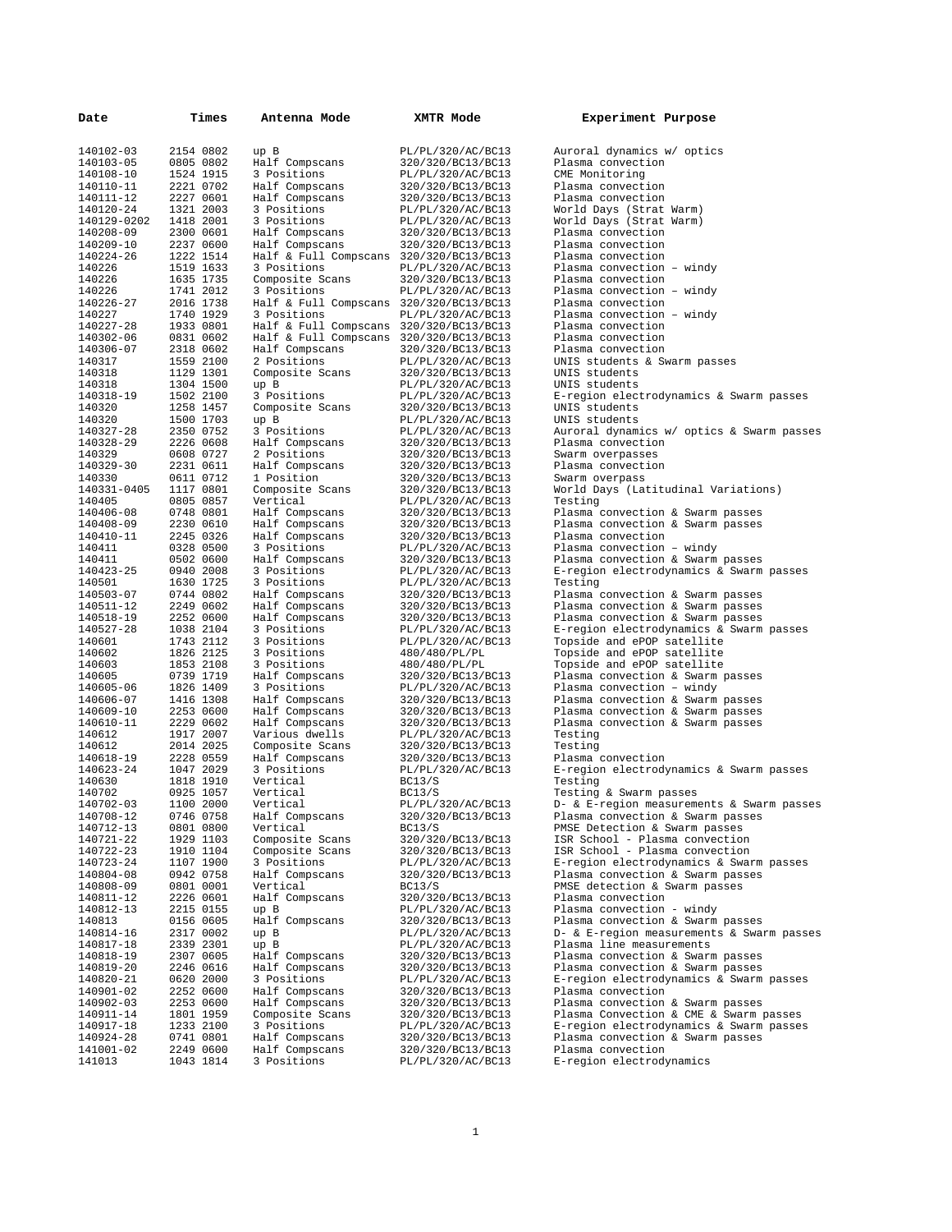| Date                   | Times                  | Antenna Mode                                              | XMTR Mode                              | Experiment Purpose                                                          |
|------------------------|------------------------|-----------------------------------------------------------|----------------------------------------|-----------------------------------------------------------------------------|
| 140102-03              | 2154 0802              | up B                                                      | PL/PL/320/AC/BC13                      | Auroral dynamics w/ optics                                                  |
| 140103-05              | 0805 0802              | Half Compscans                                            | 320/320/BC13/BC13                      | Plasma convection                                                           |
| 140108-10              | 1524 1915              | 3 Positions                                               | PL/PL/320/AC/BC13                      | CME Monitoring                                                              |
| 140110-11              | 2221 0702              | Half Compscans                                            | 320/320/BC13/BC13                      | Plasma convection                                                           |
| 140111-12              | 2227 0601              | Half Compscans                                            | 320/320/BC13/BC13                      | Plasma convection                                                           |
| 140120-24              | 1321 2003              | 3 Positions                                               | PL/PL/320/AC/BC13                      | World Days (Strat Warm)                                                     |
| 140129-0202            | 1418 2001              | 3 Positions                                               | PL/PL/320/AC/BC13                      | World Days (Strat Warm)                                                     |
| 140208-09              | 2300 0601              | Half Compscans                                            | 320/320/BC13/BC13                      | Plasma convection                                                           |
| 140209-10<br>140224-26 | 2237 0600<br>1222 1514 | Half Compscans<br>Half & Full Compscans 320/320/BC13/BC13 | 320/320/BC13/BC13                      | Plasma convection<br>Plasma convection                                      |
| 140226                 | 1519 1633              | 3 Positions                                               | PL/PL/320/AC/BC13                      | Plasma convection - windy                                                   |
| 140226                 | 1635 1735              | Composite Scans                                           | 320/320/BC13/BC13                      | Plasma convection                                                           |
| 140226                 | 1741 2012              | 3 Positions                                               | PL/PL/320/AC/BC13                      | Plasma convection - windy                                                   |
| 140226-27              | 2016 1738              | Half & Full Compscans 320/320/BC13/BC13                   |                                        | Plasma convection                                                           |
| 140227                 | 1740 1929              | 3 Positions                                               | PL/PL/320/AC/BC13                      | Plasma convection - windy                                                   |
| 140227-28              | 1933 0801              | Half & Full Compscans 320/320/BC13/BC13                   |                                        | Plasma convection                                                           |
| 140302-06              | 0831 0602              | Half & Full Compscans 320/320/BC13/BC13                   |                                        | Plasma convection                                                           |
| 140306-07              | 2318 0602              | Half Compscans                                            | 320/320/BC13/BC13                      | Plasma convection                                                           |
| 140317                 | 1559 2100              | 2 Positions                                               | PL/PL/320/AC/BC13                      | UNIS students & Swarm passes                                                |
| 140318                 | 1129 1301              | Composite Scans                                           | 320/320/BC13/BC13                      | UNIS students                                                               |
| 140318                 | 1304 1500              | up B                                                      | PL/PL/320/AC/BC13                      | UNIS students                                                               |
| 140318-19<br>140320    | 1502 2100<br>1258 1457 | 3 Positions<br>Composite Scans                            | PL/PL/320/AC/BC13<br>320/320/BC13/BC13 | E-region electrodynamics & Swarm passes<br>UNIS students                    |
| 140320                 | 1500 1703              | up B                                                      | PL/PL/320/AC/BC13                      | UNIS students                                                               |
| 140327-28              | 2350 0752              | 3 Positions                                               | PL/PL/320/AC/BC13                      | Auroral dynamics w/ optics & Swarm passes                                   |
| 140328-29              | 2226 0608              | Half Compscans                                            | 320/320/BC13/BC13                      | Plasma convection                                                           |
| 140329                 | 0608 0727              | 2 Positions                                               | 320/320/BC13/BC13                      | Swarm overpasses                                                            |
| 140329-30              | 2231 0611              | Half Compscans                                            | 320/320/BC13/BC13                      | Plasma convection                                                           |
| 140330                 | 0611 0712              | 1 Position                                                | 320/320/BC13/BC13                      | Swarm overpass                                                              |
| 140331-0405            | 1117 0801              | Composite Scans                                           | 320/320/BC13/BC13                      | World Days (Latitudinal Variations)                                         |
| 140405                 | 0805 0857              | Vertical                                                  | PL/PL/320/AC/BC13                      | Testing                                                                     |
| 140406-08              | 0748 0801              | Half Compscans                                            | 320/320/BC13/BC13                      | Plasma convection & Swarm passes                                            |
| 140408-09              | 2230 0610              | Half Compscans                                            | 320/320/BC13/BC13                      | Plasma convection & Swarm passes                                            |
| 140410-11              | 2245 0326              | Half Compscans                                            | 320/320/BC13/BC13                      | Plasma convection                                                           |
| 140411                 | 0328 0500              | 3 Positions                                               | PL/PL/320/AC/BC13                      | Plasma convection - windy                                                   |
| 140411<br>140423-25    | 0502 0600<br>0940 2008 | Half Compscans<br>3 Positions                             | 320/320/BC13/BC13<br>PL/PL/320/AC/BC13 | Plasma convection & Swarm passes<br>E-region electrodynamics & Swarm passes |
| 140501                 | 1630 1725              | 3 Positions                                               | PL/PL/320/AC/BC13                      | Testing                                                                     |
| 140503-07              | 0744 0802              | Half Compscans                                            | 320/320/BC13/BC13                      | Plasma convection & Swarm passes                                            |
| 140511-12              | 2249 0602              | Half Compscans                                            | 320/320/BC13/BC13                      | Plasma convection & Swarm passes                                            |
| 140518-19              | 2252 0600              | Half Compscans                                            | 320/320/BC13/BC13                      | Plasma convection & Swarm passes                                            |
| 140527-28              | 1038 2104              | 3 Positions                                               | PL/PL/320/AC/BC13                      | E-region electrodynamics & Swarm passes                                     |
| 140601                 | 1743 2112              | 3 Positions                                               | PL/PL/320/AC/BC13                      | Topside and ePOP satellite                                                  |
| 140602                 | 1826 2125              | 3 Positions                                               | 480/480/PL/PL                          | Topside and ePOP satellite                                                  |
| 140603                 | 1853 2108              | 3 Positions                                               | 480/480/PL/PL                          | Topside and ePOP satellite                                                  |
| 140605                 | 0739 1719              | Half Compscans                                            | 320/320/BC13/BC13                      | Plasma convection & Swarm passes                                            |
| 140605-06<br>140606-07 | 1826 1409<br>1416 1308 | 3 Positions<br>Half Compscans                             | PL/PL/320/AC/BC13<br>320/320/BC13/BC13 | Plasma convection - windy                                                   |
| 140609-10              | 2253 0600              | Half Compscans                                            | 320/320/BC13/BC13                      | Plasma convection & Swarm passes<br>Plasma convection & Swarm passes        |
| 140610-11              | 2229 0602              | Half Compscans                                            | 320/320/BC13/BC13                      | Plasma convection & Swarm passes                                            |
| 140612                 | 1917 2007              | Various dwells                                            | PL/PL/320/AC/BC13                      | Testing                                                                     |
| 140612                 | 2014 2025              | Composite Scans                                           | 320/320/BC13/BC13                      | Testing                                                                     |
| 140618-19              | 2228 0559              | Half Compscans                                            | 320/320/BC13/BC13                      | Plasma convection                                                           |
| 140623-24              | 1047 2029              | 3 Positions                                               | PL/PL/320/AC/BC13                      | E-region electrodynamics & Swarm passes                                     |
| 140630                 | 1818 1910              | Vertical                                                  | BC13/S                                 | Testing                                                                     |
| 140702                 | 0925 1057              | Vertical                                                  | BC13/S                                 | Testing & Swarm passes                                                      |
| 140702-03              | 1100 2000              | Vertical                                                  | PL/PL/320/AC/BC13                      | D- & E-region measurements & Swarm passes                                   |
| 140708-12              | 0746 0758              | Half Compscans                                            | 320/320/BC13/BC13                      | Plasma convection & Swarm passes                                            |
| 140712-13<br>140721-22 | 0801 0800<br>1929 1103 | Vertical<br>Composite Scans                               | BC13/S<br>320/320/BC13/BC13            | PMSE Detection & Swarm passes<br>ISR School - Plasma convection             |
| 140722-23              | 1910 1104              | Composite Scans                                           | 320/320/BC13/BC13                      | ISR School - Plasma convection                                              |
| 140723-24              | 1107 1900              | 3 Positions                                               | PL/PL/320/AC/BC13                      | E-region electrodynamics & Swarm passes                                     |
| 140804-08              | 0942 0758              | Half Compscans                                            | 320/320/BC13/BC13                      | Plasma convection & Swarm passes                                            |
| 140808-09              | 0801 0001              | Vertical                                                  | BC13/S                                 | PMSE detection & Swarm passes                                               |
| 140811-12              | 2226 0601              | Half Compscans                                            | 320/320/BC13/BC13                      | Plasma convection                                                           |
| 140812-13              | 2215 0155              | up B                                                      | PL/PL/320/AC/BC13                      | Plasma convection - windy                                                   |
| 140813                 | 0156 0605              | Half Compscans                                            | 320/320/BC13/BC13                      | Plasma convection & Swarm passes                                            |
| 140814-16              | 2317 0002              | up B                                                      | PL/PL/320/AC/BC13                      | D- & E-region measurements & Swarm passes                                   |
| 140817-18              | 2339 2301              | up B                                                      | PL/PL/320/AC/BC13                      | Plasma line measurements                                                    |
| 140818-19              | 2307 0605              | Half Compscans                                            | 320/320/BC13/BC13                      | Plasma convection & Swarm passes                                            |
| 140819-20              | 2246 0616              | Half Compscans                                            | 320/320/BC13/BC13                      | Plasma convection & Swarm passes                                            |
| 140820-21<br>140901-02 | 0620 2000<br>2252 0600 | 3 Positions                                               | PL/PL/320/AC/BC13                      | E-region electrodynamics & Swarm passes<br>Plasma convection                |
| 140902-03              | 2253 0600              | Half Compscans<br>Half Compscans                          | 320/320/BC13/BC13<br>320/320/BC13/BC13 | Plasma convection & Swarm passes                                            |
| 140911-14              | 1801 1959              | Composite Scans                                           | 320/320/BC13/BC13                      | Plasma Convection & CME & Swarm passes                                      |
| 140917-18              | 1233 2100              | 3 Positions                                               | PL/PL/320/AC/BC13                      | E-region electrodynamics & Swarm passes                                     |
| 140924-28              | 0741 0801              | Half Compscans                                            | 320/320/BC13/BC13                      | Plasma convection & Swarm passes                                            |
| 141001-02              | 2249 0600              | Half Compscans                                            | 320/320/BC13/BC13                      | Plasma convection                                                           |
| 141013                 | 1043 1814              | 3 Positions                                               | PL/PL/320/AC/BC13                      | E-region electrodynamics                                                    |